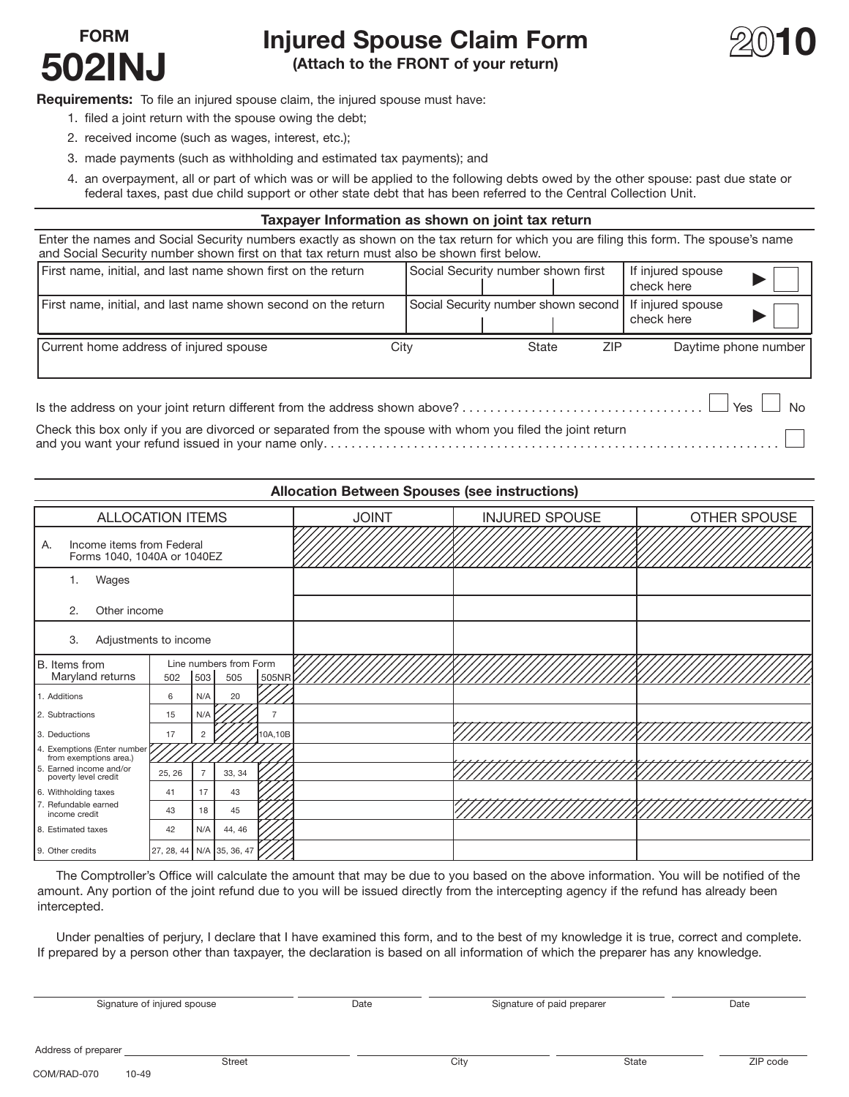## **FORM Injured Spouse Claim Form**<br> **FO2INJ** (Attach to the FRONT of your return)



**(Attach to the FRONT of your return)** 

**Requirements:** To file an injured spouse claim, the injured spouse must have:

- 1. filed a joint return with the spouse owing the debt;
- 2. received income (such as wages, interest, etc.);
- 3. made payments (such as withholding and estimated tax payments); and
- 4. an overpayment, all or part of which was or will be applied to the following debts owed by the other spouse: past due state or federal taxes, past due child support or other state debt that has been referred to the Central Collection Unit.

## **Taxpayer Information as shown on joint tax return**

Enter the names and Social Security numbers exactly as shown on the tax return for which you are filing this form. The spouse's name and Social Security number shown first on that tax return must also be shown first below.

| First name, initial, and last name shown first on the return                                              | Social Security number shown first  |       |            | If injured spouse<br>check here |                       |
|-----------------------------------------------------------------------------------------------------------|-------------------------------------|-------|------------|---------------------------------|-----------------------|
| First name, initial, and last name shown second on the return                                             | Social Security number shown second |       |            | If injured spouse<br>check here |                       |
| Current home address of injured spouse                                                                    | City                                | State | <b>ZIP</b> |                                 | Daytime phone number  |
|                                                                                                           |                                     |       |            |                                 | Yes<br>N <sub>0</sub> |
| Check this box only if you are divorced or separated from the spouse with whom you filed the joint return |                                     |       |            |                                 |                       |

□ and you want your refund issued in your name only..................................................................

|                                                                |                           |                |                               |                | <b>Allocation Between Spouses (see instructions)</b> |                       |              |  |
|----------------------------------------------------------------|---------------------------|----------------|-------------------------------|----------------|------------------------------------------------------|-----------------------|--------------|--|
| <b>ALLOCATION ITEMS</b>                                        |                           |                |                               |                | <b>JOINT</b>                                         | <b>INJURED SPOUSE</b> | OTHER SPOUSE |  |
| Income items from Federal<br>А.<br>Forms 1040, 1040A or 1040EZ |                           |                |                               |                |                                                      |                       |              |  |
| Wages<br>1.                                                    |                           |                |                               |                |                                                      |                       |              |  |
| Other income<br>2.                                             |                           |                |                               |                |                                                      |                       |              |  |
| 3.<br>Adjustments to income                                    |                           |                |                               |                |                                                      |                       |              |  |
| B. Items from<br>Maryland returns                              | 502                       | 503            | Line numbers from Form<br>505 | 505NR $\nu$    |                                                      |                       |              |  |
| 1. Additions                                                   | 6                         | N/A            | 20                            |                |                                                      |                       |              |  |
| 2. Subtractions                                                | 15                        | N/A            |                               | $\overline{7}$ |                                                      |                       |              |  |
| 3. Deductions                                                  | 17                        | $\overline{2}$ |                               | 10A, 10B       |                                                      |                       |              |  |
| 4. Exemptions (Enter number<br>from exemptions area.)          |                           |                |                               |                |                                                      |                       |              |  |
| 5. Earned income and/or<br>poverty level credit                | 25, 26                    | $\overline{7}$ | 33, 34                        |                |                                                      |                       |              |  |
| 6. Withholding taxes                                           | 41                        | 17             | 43                            |                |                                                      |                       |              |  |
| 7. Refundable earned<br>income credit                          | 43                        | 18             | 45                            |                |                                                      |                       |              |  |
| 8. Estimated taxes                                             | 42                        | N/A            | 44, 46                        |                |                                                      |                       |              |  |
| 9. Other credits                                               | 27, 28, 44 N/A 35, 36, 47 |                |                               |                |                                                      |                       |              |  |

 The Comptroller's Office will calculate the amount that may be due to you based on the above information. You will be notified of the amount. Any portion of the joint refund due to you will be issued directly from the intercepting agency if the refund has already been intercepted.

 Under penalties of perjury, I declare that I have examined this form, and to the best of my knowledge it is true, correct and complete. If prepared by a person other than taxpayer, the declaration is based on all information of which the preparer has any knowledge.